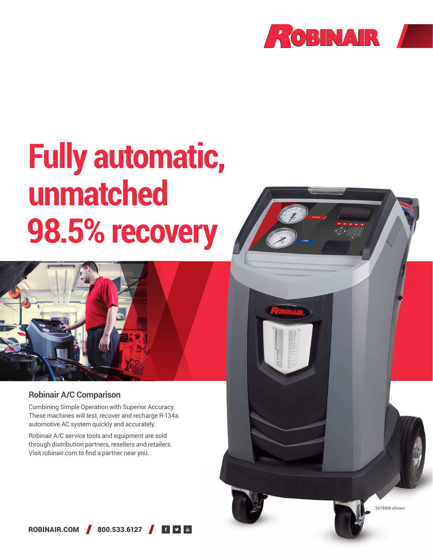

# **Fully automatic, unmatched 98.5% recovery**



### **Robinair A/C Comparison**

Combining Simple Operation with Superior Accuracy. These machines will test, recover and recharge R-134a automotive AC system quickly and accurately.

Robinair A/C service tools and equipment are sold through distribution partners, resellers and retailers. Visit robinair.com to find a partner near you.



ROBINAIR.COM 800.533.6127 6 9 8